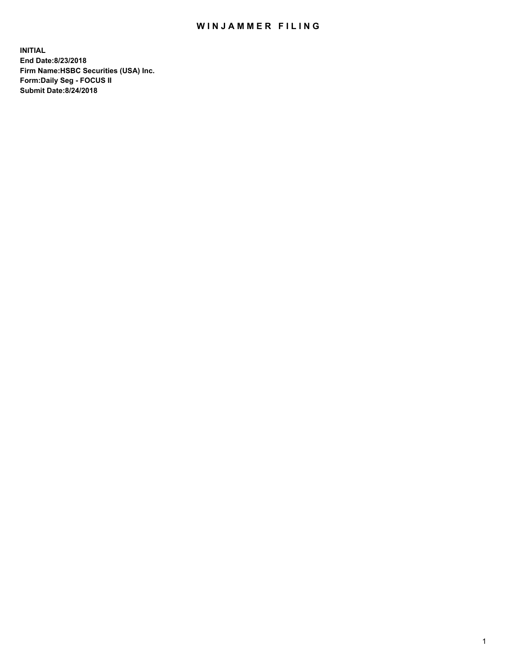## WIN JAMMER FILING

**INITIAL End Date:8/23/2018 Firm Name:HSBC Securities (USA) Inc. Form:Daily Seg - FOCUS II Submit Date:8/24/2018**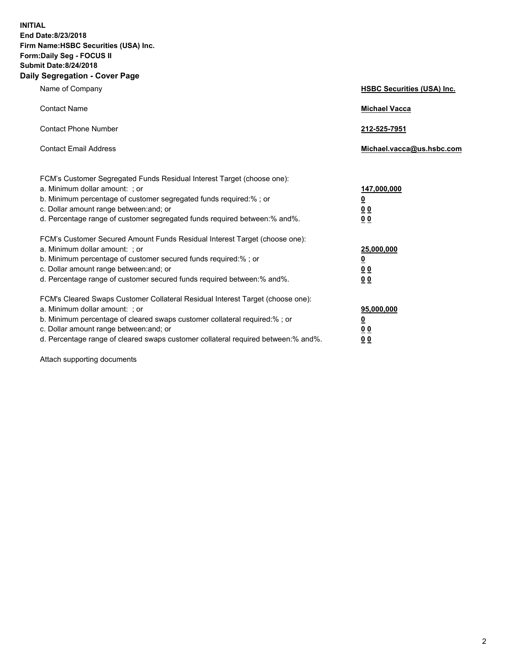**INITIAL End Date:8/23/2018 Firm Name:HSBC Securities (USA) Inc. Form:Daily Seg - FOCUS II Submit Date:8/24/2018 Daily Segregation - Cover Page**

| Name of Company                                                                                                                                                                                                                                                                                                                | <b>HSBC Securities (USA) Inc.</b>               |
|--------------------------------------------------------------------------------------------------------------------------------------------------------------------------------------------------------------------------------------------------------------------------------------------------------------------------------|-------------------------------------------------|
| <b>Contact Name</b>                                                                                                                                                                                                                                                                                                            | <b>Michael Vacca</b>                            |
| <b>Contact Phone Number</b>                                                                                                                                                                                                                                                                                                    | 212-525-7951                                    |
| <b>Contact Email Address</b>                                                                                                                                                                                                                                                                                                   | Michael.vacca@us.hsbc.com                       |
| FCM's Customer Segregated Funds Residual Interest Target (choose one):<br>a. Minimum dollar amount: : or<br>b. Minimum percentage of customer segregated funds required:% ; or<br>c. Dollar amount range between: and; or<br>d. Percentage range of customer segregated funds required between:% and%.                         | 147,000,000<br><u>0</u><br>00<br>0 <sub>0</sub> |
| FCM's Customer Secured Amount Funds Residual Interest Target (choose one):<br>a. Minimum dollar amount: ; or<br>b. Minimum percentage of customer secured funds required:%; or<br>c. Dollar amount range between: and; or<br>d. Percentage range of customer secured funds required between:% and%.                            | 25,000,000<br><u>0</u><br>0 <sup>0</sup><br>00  |
| FCM's Cleared Swaps Customer Collateral Residual Interest Target (choose one):<br>a. Minimum dollar amount: ; or<br>b. Minimum percentage of cleared swaps customer collateral required:% ; or<br>c. Dollar amount range between: and; or<br>d. Percentage range of cleared swaps customer collateral required between:% and%. | 95,000,000<br><u>0</u><br>00<br>0 <sub>0</sub>  |

Attach supporting documents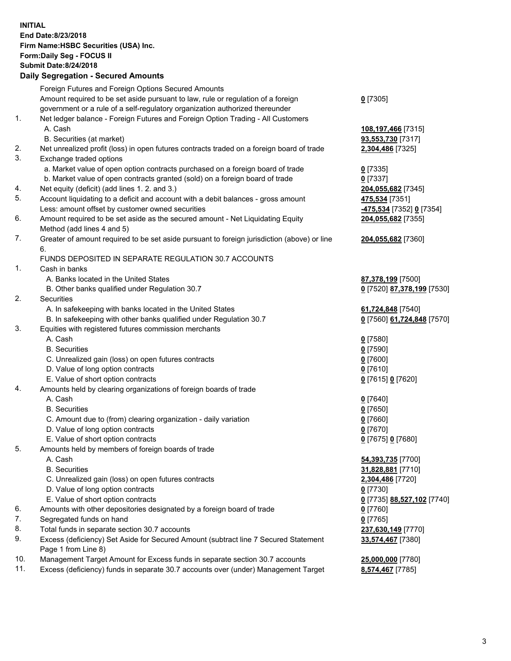**INITIAL End Date:8/23/2018 Firm Name:HSBC Securities (USA) Inc. Form:Daily Seg - FOCUS II Submit Date:8/24/2018 Daily Segregation - Secured Amounts**

Foreign Futures and Foreign Options Secured Amounts Amount required to be set aside pursuant to law, rule or regulation of a foreign government or a rule of a self-regulatory organization authorized thereunder **0** [7305] 1. Net ledger balance - Foreign Futures and Foreign Option Trading - All Customers A. Cash **108,197,466** [7315] B. Securities (at market) **93,553,730** [7317] 2. Net unrealized profit (loss) in open futures contracts traded on a foreign board of trade **2,304,486** [7325] 3. Exchange traded options a. Market value of open option contracts purchased on a foreign board of trade **0** [7335] b. Market value of open contracts granted (sold) on a foreign board of trade **0** [7337] 4. Net equity (deficit) (add lines 1. 2. and 3.) **204,055,682** [7345] 5. Account liquidating to a deficit and account with a debit balances - gross amount **475,534** [7351] Less: amount offset by customer owned securities **-475,534** [7352] **0** [7354] 6. Amount required to be set aside as the secured amount - Net Liquidating Equity Method (add lines 4 and 5) **204,055,682** [7355] 7. Greater of amount required to be set aside pursuant to foreign jurisdiction (above) or line 6. **204,055,682** [7360] FUNDS DEPOSITED IN SEPARATE REGULATION 30.7 ACCOUNTS 1. Cash in banks A. Banks located in the United States **87,378,199** [7500] B. Other banks qualified under Regulation 30.7 **0** [7520] **87,378,199** [7530] 2. Securities A. In safekeeping with banks located in the United States **61,724,848** [7540] B. In safekeeping with other banks qualified under Regulation 30.7 **0** [7560] **61,724,848** [7570] 3. Equities with registered futures commission merchants A. Cash **0** [7580] B. Securities **0** [7590] C. Unrealized gain (loss) on open futures contracts **0** [7600] D. Value of long option contracts **0** [7610] E. Value of short option contracts **0** [7615] **0** [7620] 4. Amounts held by clearing organizations of foreign boards of trade A. Cash **0** [7640] B. Securities **0** [7650] C. Amount due to (from) clearing organization - daily variation **0** [7660] D. Value of long option contracts **0** [7670] E. Value of short option contracts **0** [7675] **0** [7680] 5. Amounts held by members of foreign boards of trade A. Cash **54,393,735** [7700] B. Securities **31,828,881** [7710] C. Unrealized gain (loss) on open futures contracts **2,304,486** [7720] D. Value of long option contracts **0** [7730] E. Value of short option contracts **0** [7735] **88,527,102** [7740] 6. Amounts with other depositories designated by a foreign board of trade **0** [7760] 7. Segregated funds on hand **0** [7765] 8. Total funds in separate section 30.7 accounts **237,630,149** [7770] 9. Excess (deficiency) Set Aside for Secured Amount (subtract line 7 Secured Statement Page 1 from Line 8) **33,574,467** [7380] 10. Management Target Amount for Excess funds in separate section 30.7 accounts **25,000,000** [7780] 11. Excess (deficiency) funds in separate 30.7 accounts over (under) Management Target **8,574,467** [7785]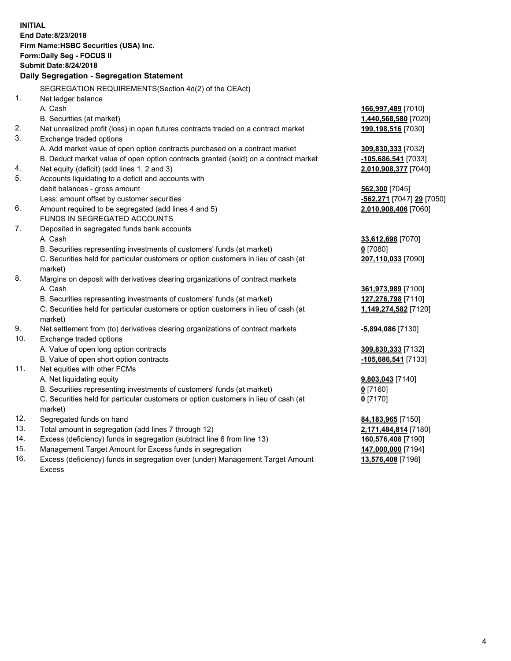**INITIAL End Date:8/23/2018 Firm Name:HSBC Securities (USA) Inc. Form:Daily Seg - FOCUS II Submit Date:8/24/2018 Daily Segregation - Segregation Statement** SEGREGATION REQUIREMENTS(Section 4d(2) of the CEAct) 1. Net ledger balance A. Cash **166,997,489** [7010] B. Securities (at market) **1,440,568,580** [7020] 2. Net unrealized profit (loss) in open futures contracts traded on a contract market **199,198,516** [7030] 3. Exchange traded options A. Add market value of open option contracts purchased on a contract market **309,830,333** [7032] B. Deduct market value of open option contracts granted (sold) on a contract market **-105,686,541** [7033] 4. Net equity (deficit) (add lines 1, 2 and 3) **2,010,908,377** [7040] 5. Accounts liquidating to a deficit and accounts with debit balances - gross amount **562,300** [7045] Less: amount offset by customer securities **-562,271** [7047] **29** [7050] 6. Amount required to be segregated (add lines 4 and 5) **2,010,908,406** [7060] FUNDS IN SEGREGATED ACCOUNTS 7. Deposited in segregated funds bank accounts A. Cash **33,612,698** [7070] B. Securities representing investments of customers' funds (at market) **0** [7080] C. Securities held for particular customers or option customers in lieu of cash (at market) **207,110,033** [7090] 8. Margins on deposit with derivatives clearing organizations of contract markets A. Cash **361,973,989** [7100] B. Securities representing investments of customers' funds (at market) **127,276,798** [7110] C. Securities held for particular customers or option customers in lieu of cash (at market) **1,149,274,582** [7120] 9. Net settlement from (to) derivatives clearing organizations of contract markets **-5,894,086** [7130] 10. Exchange traded options A. Value of open long option contracts **309,830,333** [7132] B. Value of open short option contracts **-105,686,541** [7133] 11. Net equities with other FCMs A. Net liquidating equity **9,803,043** [7140] B. Securities representing investments of customers' funds (at market) **0** [7160] C. Securities held for particular customers or option customers in lieu of cash (at market) **0** [7170] 12. Segregated funds on hand **84,183,965** [7150] 13. Total amount in segregation (add lines 7 through 12) **2,171,484,814** [7180] 14. Excess (deficiency) funds in segregation (subtract line 6 from line 13) **160,576,408** [7190] 15. Management Target Amount for Excess funds in segregation **147,000,000** [7194] **13,576,408** [7198]

16. Excess (deficiency) funds in segregation over (under) Management Target Amount Excess